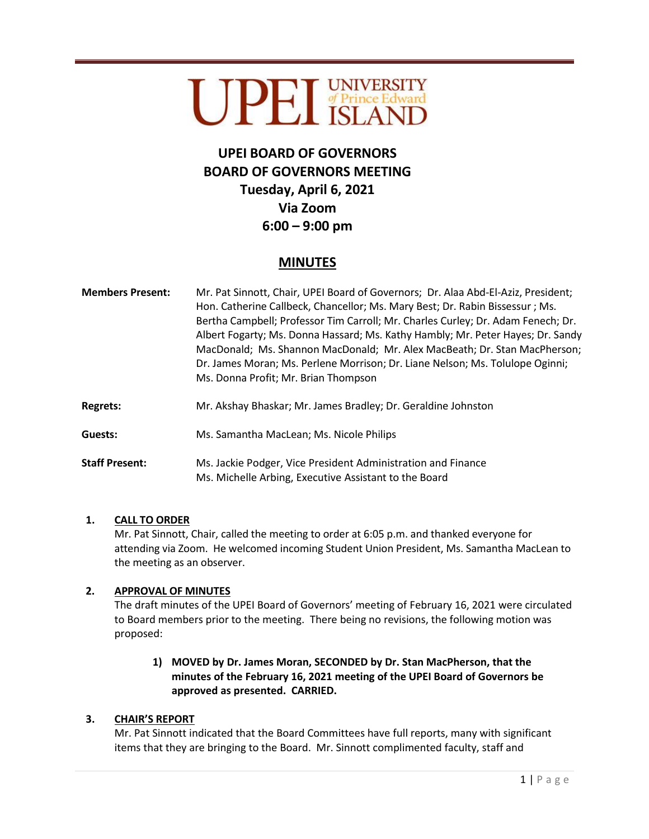# UPEI UNIVERSITY

# **UPEI BOARD OF GOVERNORS BOARD OF GOVERNORS MEETING Tuesday, April 6, 2021 Via Zoom 6:00 – 9:00 pm**

# **MINUTES**

| <b>Members Present:</b> | Mr. Pat Sinnott, Chair, UPEI Board of Governors; Dr. Alaa Abd-El-Aziz, President;<br>Hon. Catherine Callbeck, Chancellor; Ms. Mary Best; Dr. Rabin Bissessur; Ms.<br>Bertha Campbell; Professor Tim Carroll; Mr. Charles Curley; Dr. Adam Fenech; Dr.<br>Albert Fogarty; Ms. Donna Hassard; Ms. Kathy Hambly; Mr. Peter Hayes; Dr. Sandy<br>MacDonald; Ms. Shannon MacDonald; Mr. Alex MacBeath; Dr. Stan MacPherson;<br>Dr. James Moran; Ms. Perlene Morrison; Dr. Liane Nelson; Ms. Tolulope Oginni;<br>Ms. Donna Profit; Mr. Brian Thompson |
|-------------------------|------------------------------------------------------------------------------------------------------------------------------------------------------------------------------------------------------------------------------------------------------------------------------------------------------------------------------------------------------------------------------------------------------------------------------------------------------------------------------------------------------------------------------------------------|
| <b>Regrets:</b>         | Mr. Akshay Bhaskar; Mr. James Bradley; Dr. Geraldine Johnston                                                                                                                                                                                                                                                                                                                                                                                                                                                                                  |
| Guests:                 | Ms. Samantha MacLean; Ms. Nicole Philips                                                                                                                                                                                                                                                                                                                                                                                                                                                                                                       |
| <b>Staff Dracant</b>    | Me Jackie Podger, Vice President Administration and Finance                                                                                                                                                                                                                                                                                                                                                                                                                                                                                    |

#### **Staff Present:** Ms. Jackie Podger, Vice President Administration and Finance Ms. Michelle Arbing, Executive Assistant to the Board

# **1. CALL TO ORDER**

Mr. Pat Sinnott, Chair, called the meeting to order at 6:05 p.m. and thanked everyone for attending via Zoom. He welcomed incoming Student Union President, Ms. Samantha MacLean to the meeting as an observer.

# **2. APPROVAL OF MINUTES**

The draft minutes of the UPEI Board of Governors' meeting of February 16, 2021 were circulated to Board members prior to the meeting. There being no revisions, the following motion was proposed:

# **1) MOVED by Dr. James Moran, SECONDED by Dr. Stan MacPherson, that the minutes of the February 16, 2021 meeting of the UPEI Board of Governors be approved as presented. CARRIED.**

# **3. CHAIR'S REPORT**

Mr. Pat Sinnott indicated that the Board Committees have full reports, many with significant items that they are bringing to the Board. Mr. Sinnott complimented faculty, staff and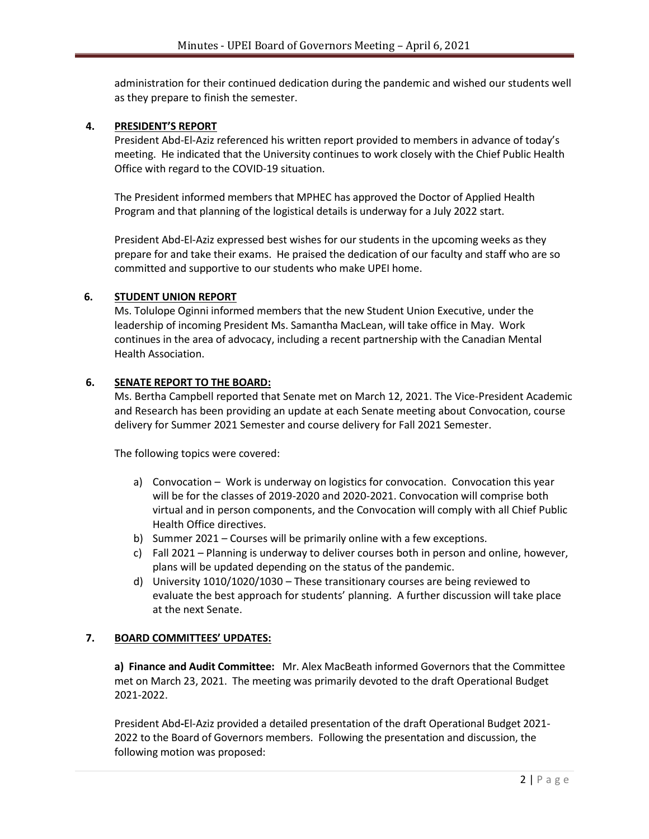administration for their continued dedication during the pandemic and wished our students well as they prepare to finish the semester.

#### **4. PRESIDENT'S REPORT**

President Abd-El-Aziz referenced his written report provided to members in advance of today's meeting. He indicated that the University continues to work closely with the Chief Public Health Office with regard to the COVID-19 situation.

The President informed members that MPHEC has approved the Doctor of Applied Health Program and that planning of the logistical details is underway for a July 2022 start.

President Abd-El-Aziz expressed best wishes for our students in the upcoming weeks as they prepare for and take their exams. He praised the dedication of our faculty and staff who are so committed and supportive to our students who make UPEI home.

#### **6. STUDENT UNION REPORT**

Ms. Tolulope Oginni informed members that the new Student Union Executive, under the leadership of incoming President Ms. Samantha MacLean, will take office in May. Work continues in the area of advocacy, including a recent partnership with the Canadian Mental Health Association.

#### **6. SENATE REPORT TO THE BOARD:**

Ms. Bertha Campbell reported that Senate met on March 12, 2021. The Vice-President Academic and Research has been providing an update at each Senate meeting about Convocation, course delivery for Summer 2021 Semester and course delivery for Fall 2021 Semester.

The following topics were covered:

- a) Convocation Work is underway on logistics for convocation. Convocation this year will be for the classes of 2019-2020 and 2020-2021. Convocation will comprise both virtual and in person components, and the Convocation will comply with all Chief Public Health Office directives.
- b) Summer 2021 Courses will be primarily online with a few exceptions.
- c) Fall 2021 Planning is underway to deliver courses both in person and online, however, plans will be updated depending on the status of the pandemic.
- d) University 1010/1020/1030 These transitionary courses are being reviewed to evaluate the best approach for students' planning. A further discussion will take place at the next Senate.

#### **7. BOARD COMMITTEES' UPDATES:**

**a) Finance and Audit Committee:** Mr. Alex MacBeath informed Governors that the Committee met on March 23, 2021. The meeting was primarily devoted to the draft Operational Budget 2021-2022.

President Abd**-**El-Aziz provided a detailed presentation of the draft Operational Budget 2021- 2022 to the Board of Governors members. Following the presentation and discussion, the following motion was proposed: